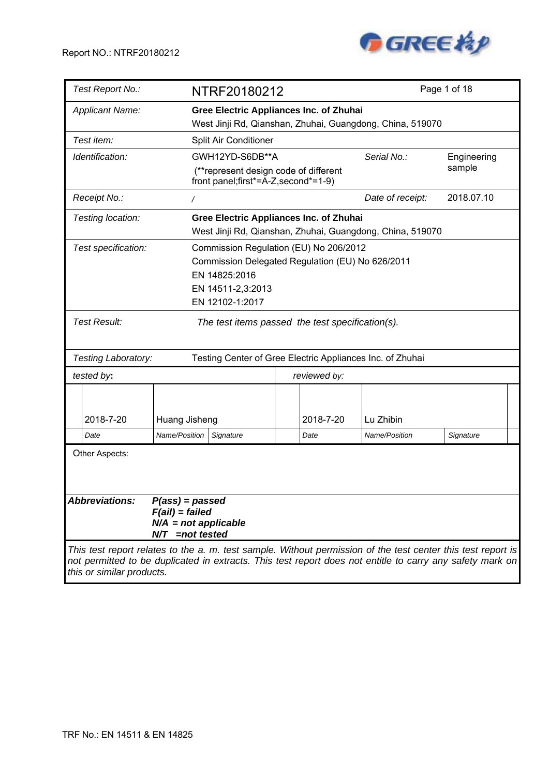

| Test Report No.:                                                                                                                                                                                                          |                                                                                      | NTRF20180212                                                                  |              |  |                                                           | Page 1 of 18          |  |
|---------------------------------------------------------------------------------------------------------------------------------------------------------------------------------------------------------------------------|--------------------------------------------------------------------------------------|-------------------------------------------------------------------------------|--------------|--|-----------------------------------------------------------|-----------------------|--|
| <b>Applicant Name:</b>                                                                                                                                                                                                    |                                                                                      | <b>Gree Electric Appliances Inc. of Zhuhai</b>                                |              |  |                                                           |                       |  |
|                                                                                                                                                                                                                           |                                                                                      |                                                                               |              |  | West Jinji Rd, Qianshan, Zhuhai, Guangdong, China, 519070 |                       |  |
| Test item:                                                                                                                                                                                                                |                                                                                      | Split Air Conditioner                                                         |              |  |                                                           |                       |  |
| Identification:                                                                                                                                                                                                           |                                                                                      | GWH12YD-S6DB**A                                                               |              |  | Serial No.:                                               | Engineering<br>sample |  |
|                                                                                                                                                                                                                           |                                                                                      | (**represent design code of different<br>front panel;first*=A-Z, second*=1-9) |              |  |                                                           |                       |  |
| Receipt No.:                                                                                                                                                                                                              | $\sqrt{2}$                                                                           |                                                                               |              |  | Date of receipt:                                          | 2018.07.10            |  |
| Testing location:                                                                                                                                                                                                         |                                                                                      | <b>Gree Electric Appliances Inc. of Zhuhai</b>                                |              |  | West Jinji Rd, Qianshan, Zhuhai, Guangdong, China, 519070 |                       |  |
| Test specification:<br>Commission Regulation (EU) No 206/2012<br>Commission Delegated Regulation (EU) No 626/2011<br>EN 14825:2016<br>EN 14511-2,3:2013                                                                   |                                                                                      |                                                                               |              |  |                                                           |                       |  |
|                                                                                                                                                                                                                           |                                                                                      | EN 12102-1:2017                                                               |              |  |                                                           |                       |  |
| <b>Test Result:</b>                                                                                                                                                                                                       |                                                                                      | The test items passed the test specification(s).                              |              |  |                                                           |                       |  |
| Testing Laboratory:                                                                                                                                                                                                       |                                                                                      |                                                                               |              |  | Testing Center of Gree Electric Appliances Inc. of Zhuhai |                       |  |
| tested by:                                                                                                                                                                                                                |                                                                                      |                                                                               | reviewed by: |  |                                                           |                       |  |
| 2018-7-20                                                                                                                                                                                                                 | Huang Jisheng                                                                        |                                                                               | 2018-7-20    |  | Lu Zhibin                                                 |                       |  |
| Date                                                                                                                                                                                                                      | Name/Position                                                                        | Signature                                                                     | Date         |  | Name/Position                                             | Signature             |  |
| Other Aspects:                                                                                                                                                                                                            |                                                                                      |                                                                               |              |  |                                                           |                       |  |
| <b>Abbreviations:</b>                                                                                                                                                                                                     | $P(ass) = passed$<br>$F(ai) = failed$<br>$N/A$ = not applicable<br>$N/T$ =not tested |                                                                               |              |  |                                                           |                       |  |
| This test report relates to the a. m. test sample. Without permission of the test center this test report is<br>not permitted to be duplicated in extracts. This test report does not entitle to carry any safety mark on |                                                                                      |                                                                               |              |  |                                                           |                       |  |

*this or similar products.*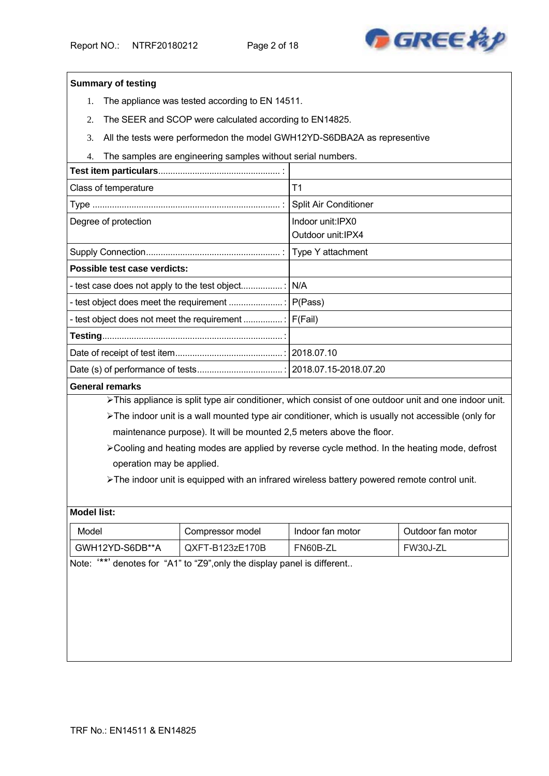

#### **Summary of testing**

- 1. The appliance was tested according to EN 14511.
- 2. The SEER and SCOP were calculated according to EN14825.
- 3. All the tests were performedon the model GWH12YD-S6DBA2A as representive
- 4. The samples are engineering samples without serial numbers.

| Class of temperature         | T <sub>1</sub>        |
|------------------------------|-----------------------|
|                              | Split Air Conditioner |
| Degree of protection         | Indoor unit:IPX0      |
|                              | Outdoor unit: IPX4    |
|                              |                       |
| Possible test case verdicts: |                       |
|                              |                       |
|                              |                       |
|                              |                       |
|                              |                       |
|                              |                       |
|                              |                       |
|                              |                       |

#### **General remarks**

> This appliance is split type air conditioner, which consist of one outdoor unit and one indoor unit.

The indoor unit is a wall mounted type air conditioner, which is usually not accessible (only for maintenance purpose). It will be mounted 2,5 meters above the floor.

Cooling and heating modes are applied by reverse cycle method. In the heating mode, defrost operation may be applied.

The indoor unit is equipped with an infrared wireless battery powered remote control unit.

#### **Model list:**

| Model           | Compressor model  | Indoor fan motor | Outdoor fan motor |
|-----------------|-------------------|------------------|-------------------|
| GWH12YD-S6DB**A | $QXFT-B123zE170B$ | FN60B-ZI         | <b>FW30J-Z</b>    |

Note: '\*\*' denotes for "A1" to "Z9",only the display panel is different..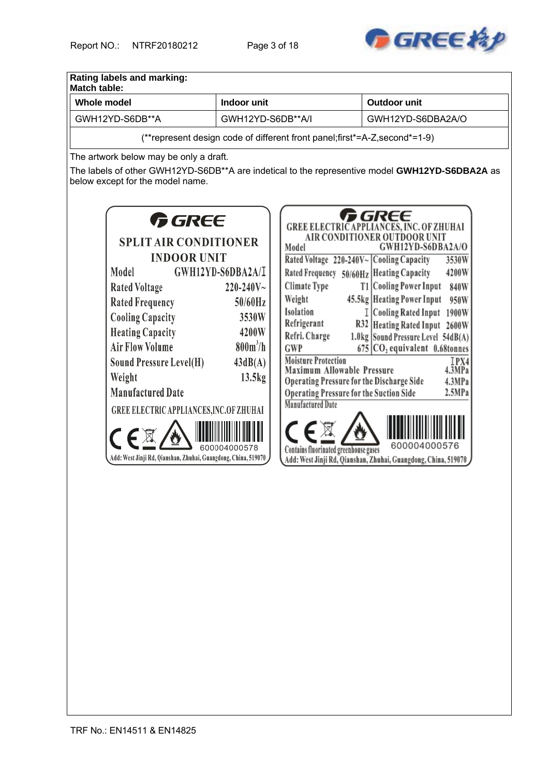

| <b>Whole model</b>                                                                             | Indoor unit       |                                                                             | <b>Outdoor unit</b>                                                                    |  |  |
|------------------------------------------------------------------------------------------------|-------------------|-----------------------------------------------------------------------------|----------------------------------------------------------------------------------------|--|--|
| GWH12YD-S6DB**A                                                                                |                   | GWH12YD-S6DB**A/I<br>GWH12YD-S6DBA2A/O                                      |                                                                                        |  |  |
|                                                                                                |                   | (**represent design code of different front panel; first*=A-Z, second*=1-9) |                                                                                        |  |  |
| The artwork below may be only a draft.                                                         |                   |                                                                             |                                                                                        |  |  |
| The labels of other GWH12YD-S6DB**A are indetical to the representive model GWH12YD-S6DBA2A as |                   |                                                                             |                                                                                        |  |  |
| below except for the model name.                                                               |                   |                                                                             |                                                                                        |  |  |
|                                                                                                |                   |                                                                             |                                                                                        |  |  |
| <i>f GREE</i>                                                                                  |                   |                                                                             | GREE                                                                                   |  |  |
|                                                                                                |                   |                                                                             | <b>GREE ELECTRIC APPLIANCES, INC. OF ZHUHAI</b><br><b>AIR CONDITIONER OUTDOOR UNIT</b> |  |  |
| <b>SPLIT AIR CONDITIONER</b>                                                                   |                   | Model                                                                       | GWH12YD-S6DBA2A/O                                                                      |  |  |
| <b>INDOOR UNIT</b><br>Model                                                                    | GWH12YD-S6DBA2A/I |                                                                             | Rated Voltage 220-240V~ Cooling Capacity<br>3530W                                      |  |  |
| <b>Rated Voltage</b>                                                                           | $220 - 240V$ ~    | Climate Type                                                                | Rated Frequency 50/60Hz Heating Capacity<br>4200W<br>T1 Cooling Power Input<br>840W    |  |  |
| <b>Rated Frequency</b>                                                                         | $50/60$ Hz        | Weight                                                                      | 45.5kg   Heating Power Input<br>950W                                                   |  |  |
| <b>Cooling Capacity</b>                                                                        | 3530W             | Isolation                                                                   | I Cooling Rated Input 1900W                                                            |  |  |
| <b>Heating Capacity</b>                                                                        | 4200W             | Refrigerant                                                                 | R32 Heating Rated Input 2600W                                                          |  |  |
| <b>Air Flow Volume</b>                                                                         | $800m^3/h$        | Refri. Charge<br><b>GWP</b>                                                 | 1.0kg Sound Pressure Level 54dB(A)<br>$675$ CO <sub>2</sub> equivalent 0.68tonnes      |  |  |
| <b>Sound Pressure Level(H)</b>                                                                 | 43dB(A)           | <b>Moisture Protection</b>                                                  | IPX4                                                                                   |  |  |
| Weight                                                                                         | 13.5kg            | Maximum Allowable Pressure                                                  | 4.3MPa<br>Operating Pressure for the Discharge Side<br>4.3MPa                          |  |  |
| <b>Manufactured Date</b>                                                                       |                   | <b>Operating Pressure for the Suction Side</b>                              | 2.5MPa                                                                                 |  |  |
| GREE ELECTRIC APPLIANCES, INC.OF ZHUHAI                                                        |                   | <b>Manufactured Date</b>                                                    |                                                                                        |  |  |
|                                                                                                |                   |                                                                             |                                                                                        |  |  |
|                                                                                                |                   |                                                                             |                                                                                        |  |  |
| Add: West Jinji Rd, Qianshan, Zhuhai, Guangdong, China, 519070                                 |                   | Contains fluorinated greenhouse gases                                       | 600004000576                                                                           |  |  |
|                                                                                                |                   |                                                                             | Add: West Jinji Rd, Qianshan, Zhuhai, Guangdong, China, 519070                         |  |  |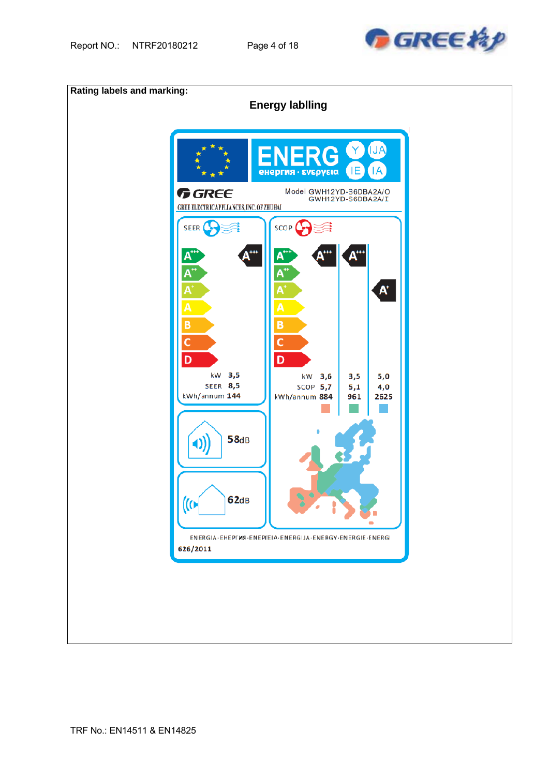

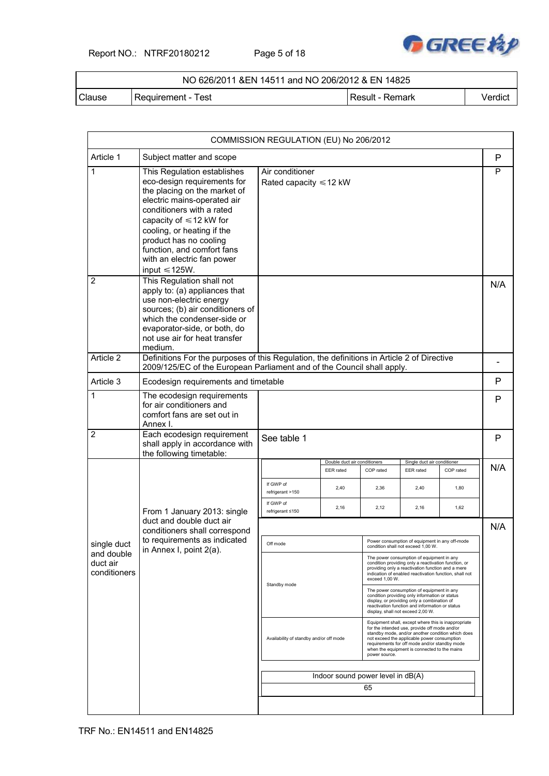Report NO.: NTRF20180212 Page 5 of 18



### NO 626/2011 &EN 14511 and NO 206/2012 & EN 14825

Clause Requirement - Test Result - Result - Remark Verdict

| Subject matter and scope<br>This Regulation establishes<br>eco-design requirements for<br>the placing on the market of<br>electric mains-operated air<br>conditioners with a rated<br>capacity of $\leq 12$ kW for<br>cooling, or heating if the<br>product has no cooling<br>function, and comfort fans<br>with an electric fan power<br>input $\leq 125W$ .<br>This Regulation shall not<br>apply to: (a) appliances that<br>use non-electric energy<br>sources; (b) air conditioners of<br>which the condenser-side or<br>evaporator-side, or both, do<br>not use air for heat transfer<br>medium. | Air conditioner<br>Rated capacity $\leq 12$ kW                                                                     |                                                          |                                                                                                                                                                                               |                                           |                                                                                                                                                                                        | P<br>P<br>N/A                                                                                                                                                                                                                                                                                                                                                                                                                                                                                                                                                                                                                                                                                                                                                   |
|-------------------------------------------------------------------------------------------------------------------------------------------------------------------------------------------------------------------------------------------------------------------------------------------------------------------------------------------------------------------------------------------------------------------------------------------------------------------------------------------------------------------------------------------------------------------------------------------------------|--------------------------------------------------------------------------------------------------------------------|----------------------------------------------------------|-----------------------------------------------------------------------------------------------------------------------------------------------------------------------------------------------|-------------------------------------------|----------------------------------------------------------------------------------------------------------------------------------------------------------------------------------------|-----------------------------------------------------------------------------------------------------------------------------------------------------------------------------------------------------------------------------------------------------------------------------------------------------------------------------------------------------------------------------------------------------------------------------------------------------------------------------------------------------------------------------------------------------------------------------------------------------------------------------------------------------------------------------------------------------------------------------------------------------------------|
|                                                                                                                                                                                                                                                                                                                                                                                                                                                                                                                                                                                                       |                                                                                                                    |                                                          |                                                                                                                                                                                               |                                           |                                                                                                                                                                                        |                                                                                                                                                                                                                                                                                                                                                                                                                                                                                                                                                                                                                                                                                                                                                                 |
|                                                                                                                                                                                                                                                                                                                                                                                                                                                                                                                                                                                                       |                                                                                                                    |                                                          |                                                                                                                                                                                               |                                           |                                                                                                                                                                                        |                                                                                                                                                                                                                                                                                                                                                                                                                                                                                                                                                                                                                                                                                                                                                                 |
|                                                                                                                                                                                                                                                                                                                                                                                                                                                                                                                                                                                                       |                                                                                                                    |                                                          |                                                                                                                                                                                               |                                           |                                                                                                                                                                                        |                                                                                                                                                                                                                                                                                                                                                                                                                                                                                                                                                                                                                                                                                                                                                                 |
|                                                                                                                                                                                                                                                                                                                                                                                                                                                                                                                                                                                                       |                                                                                                                    |                                                          |                                                                                                                                                                                               |                                           |                                                                                                                                                                                        |                                                                                                                                                                                                                                                                                                                                                                                                                                                                                                                                                                                                                                                                                                                                                                 |
|                                                                                                                                                                                                                                                                                                                                                                                                                                                                                                                                                                                                       |                                                                                                                    |                                                          |                                                                                                                                                                                               |                                           |                                                                                                                                                                                        | P                                                                                                                                                                                                                                                                                                                                                                                                                                                                                                                                                                                                                                                                                                                                                               |
| for air conditioners and<br>comfort fans are set out in<br>Annex I.                                                                                                                                                                                                                                                                                                                                                                                                                                                                                                                                   |                                                                                                                    |                                                          |                                                                                                                                                                                               |                                           |                                                                                                                                                                                        | P                                                                                                                                                                                                                                                                                                                                                                                                                                                                                                                                                                                                                                                                                                                                                               |
| Each ecodesign requirement<br>shall apply in accordance with<br>the following timetable:                                                                                                                                                                                                                                                                                                                                                                                                                                                                                                              | See table 1                                                                                                        |                                                          |                                                                                                                                                                                               |                                           |                                                                                                                                                                                        | $\mathsf{P}$                                                                                                                                                                                                                                                                                                                                                                                                                                                                                                                                                                                                                                                                                                                                                    |
|                                                                                                                                                                                                                                                                                                                                                                                                                                                                                                                                                                                                       |                                                                                                                    |                                                          |                                                                                                                                                                                               |                                           |                                                                                                                                                                                        | N/A                                                                                                                                                                                                                                                                                                                                                                                                                                                                                                                                                                                                                                                                                                                                                             |
|                                                                                                                                                                                                                                                                                                                                                                                                                                                                                                                                                                                                       | If GWP of<br>refrigerant >150                                                                                      | 2,40                                                     | 2,36                                                                                                                                                                                          | 2,40                                      | 1,80                                                                                                                                                                                   |                                                                                                                                                                                                                                                                                                                                                                                                                                                                                                                                                                                                                                                                                                                                                                 |
| From 1 January 2013: single                                                                                                                                                                                                                                                                                                                                                                                                                                                                                                                                                                           | If GWP of<br>refrigerant ≤150                                                                                      | 2,16                                                     | 2,12                                                                                                                                                                                          | 2,16                                      | 1,62                                                                                                                                                                                   |                                                                                                                                                                                                                                                                                                                                                                                                                                                                                                                                                                                                                                                                                                                                                                 |
|                                                                                                                                                                                                                                                                                                                                                                                                                                                                                                                                                                                                       |                                                                                                                    |                                                          |                                                                                                                                                                                               |                                           |                                                                                                                                                                                        | N/A                                                                                                                                                                                                                                                                                                                                                                                                                                                                                                                                                                                                                                                                                                                                                             |
| to requirements as indicated                                                                                                                                                                                                                                                                                                                                                                                                                                                                                                                                                                          | Off mode                                                                                                           |                                                          |                                                                                                                                                                                               |                                           |                                                                                                                                                                                        |                                                                                                                                                                                                                                                                                                                                                                                                                                                                                                                                                                                                                                                                                                                                                                 |
|                                                                                                                                                                                                                                                                                                                                                                                                                                                                                                                                                                                                       |                                                                                                                    |                                                          |                                                                                                                                                                                               |                                           |                                                                                                                                                                                        |                                                                                                                                                                                                                                                                                                                                                                                                                                                                                                                                                                                                                                                                                                                                                                 |
|                                                                                                                                                                                                                                                                                                                                                                                                                                                                                                                                                                                                       | Standby mode                                                                                                       |                                                          | The power consumption of equipment in any<br>condition providing only information or status<br>display, or providing only a combination of<br>reactivation function and information or status |                                           |                                                                                                                                                                                        |                                                                                                                                                                                                                                                                                                                                                                                                                                                                                                                                                                                                                                                                                                                                                                 |
|                                                                                                                                                                                                                                                                                                                                                                                                                                                                                                                                                                                                       |                                                                                                                    | Availability of standby and/or off mode<br>power source. |                                                                                                                                                                                               |                                           |                                                                                                                                                                                        |                                                                                                                                                                                                                                                                                                                                                                                                                                                                                                                                                                                                                                                                                                                                                                 |
|                                                                                                                                                                                                                                                                                                                                                                                                                                                                                                                                                                                                       |                                                                                                                    |                                                          |                                                                                                                                                                                               |                                           |                                                                                                                                                                                        |                                                                                                                                                                                                                                                                                                                                                                                                                                                                                                                                                                                                                                                                                                                                                                 |
|                                                                                                                                                                                                                                                                                                                                                                                                                                                                                                                                                                                                       |                                                                                                                    |                                                          | 65                                                                                                                                                                                            |                                           |                                                                                                                                                                                        |                                                                                                                                                                                                                                                                                                                                                                                                                                                                                                                                                                                                                                                                                                                                                                 |
|                                                                                                                                                                                                                                                                                                                                                                                                                                                                                                                                                                                                       | The ecodesign requirements<br>duct and double duct air<br>conditioners shall correspond<br>in Annex I, point 2(a). | Ecodesign requirements and timetable                     | <b>EER</b> rated                                                                                                                                                                              | Double duct air conditioners<br>COP rated | 2009/125/EC of the European Parliament and of the Council shall apply.<br><b>EER</b> rated<br>exceed 1.00 W.<br>display, shall not exceed 2,00 W.<br>Indoor sound power level in dB(A) | Definitions For the purposes of this Regulation, the definitions in Article 2 of Directive<br>Single duct air conditioner<br>COP rated<br>Power consumption of equipment in any off-mode<br>condition shall not exceed 1,00 W.<br>The power consumption of equipment in any<br>condition providing only a reactivation function, or<br>providing only a reactivation function and a mere<br>indication of enabled reactivation function, shall not<br>Equipment shall, except where this is inappropriate<br>for the intended use, provide off mode and/or<br>standby mode, and/or another condition which does<br>not exceed the applicable power consumption<br>requirements for off mode and/or standby mode<br>when the equipment is connected to the mains |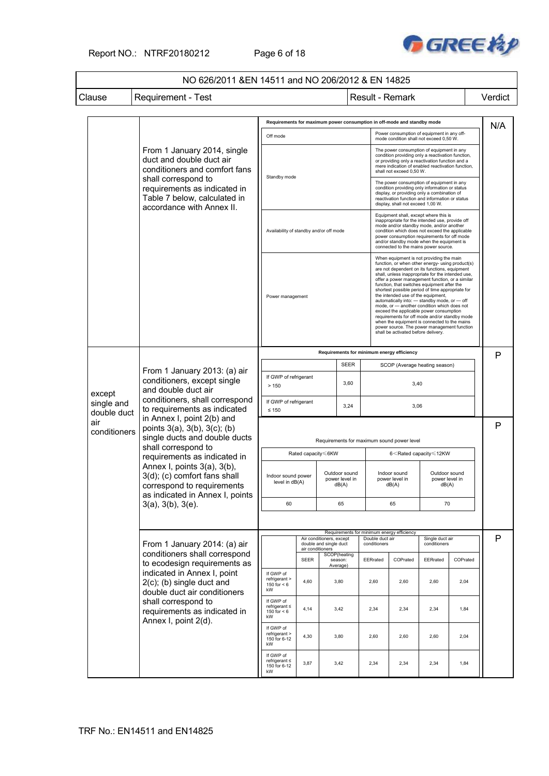

### NO 626/2011 &EN 14511 and NO 206/2012 & EN 14825

| Clause | Requirement - Test | Result - Result - Remark | Verdict

|                           |                                                                                                                                                                                                                                                                                                                                                                                                                                                                                  |                                                       |                  |                                                    |                                          |                                                   | Requirements for maximum power consumption in off-mode and standby mode                                                                                                                                                                                                                                                                                                                                                                                                                                                                                                                                                                                                                                                         |                                          |          | N/A                                                |      |      |      |  |
|---------------------------|----------------------------------------------------------------------------------------------------------------------------------------------------------------------------------------------------------------------------------------------------------------------------------------------------------------------------------------------------------------------------------------------------------------------------------------------------------------------------------|-------------------------------------------------------|------------------|----------------------------------------------------|------------------------------------------|---------------------------------------------------|---------------------------------------------------------------------------------------------------------------------------------------------------------------------------------------------------------------------------------------------------------------------------------------------------------------------------------------------------------------------------------------------------------------------------------------------------------------------------------------------------------------------------------------------------------------------------------------------------------------------------------------------------------------------------------------------------------------------------------|------------------------------------------|----------|----------------------------------------------------|------|------|------|--|
|                           |                                                                                                                                                                                                                                                                                                                                                                                                                                                                                  | Off mode                                              |                  |                                                    |                                          |                                                   | Power consumption of equipment in any off-<br>mode condition shall not exceed 0,50 W.                                                                                                                                                                                                                                                                                                                                                                                                                                                                                                                                                                                                                                           |                                          |          |                                                    |      |      |      |  |
|                           | From 1 January 2014, single<br>duct and double duct air<br>conditioners and comfort fans<br>shall correspond to                                                                                                                                                                                                                                                                                                                                                                  | Standby mode                                          |                  |                                                    |                                          |                                                   | The power consumption of equipment in any<br>condition providing only a reactivation function,<br>or providing only a reactivation function and a<br>mere indication of enabled reactivation function,<br>shall not exceed 0,50 W.                                                                                                                                                                                                                                                                                                                                                                                                                                                                                              |                                          |          |                                                    |      |      |      |  |
|                           | requirements as indicated in<br>Table 7 below, calculated in<br>accordance with Annex II.                                                                                                                                                                                                                                                                                                                                                                                        |                                                       |                  |                                                    |                                          |                                                   | The power consumption of equipment in any<br>condition providing only information or status<br>display, or providing only a combination of<br>reactivation function and information or status<br>display, shall not exceed 1,00 W.                                                                                                                                                                                                                                                                                                                                                                                                                                                                                              |                                          |          |                                                    |      |      |      |  |
|                           |                                                                                                                                                                                                                                                                                                                                                                                                                                                                                  | Availability of standby and/or off mode               |                  |                                                    |                                          |                                                   | Equipment shall, except where this is<br>inappropriate for the intended use, provide off<br>mode and/or standby mode, and/or another<br>condition which does not exceed the applicable<br>power consumption requirements for off mode<br>and/or standby mode when the equipment is<br>connected to the mains power source.                                                                                                                                                                                                                                                                                                                                                                                                      |                                          |          |                                                    |      |      |      |  |
|                           |                                                                                                                                                                                                                                                                                                                                                                                                                                                                                  | Power management                                      |                  |                                                    |                                          |                                                   | When equipment is not providing the main<br>function, or when other energy- using product(s)<br>are not dependent on its functions, equipment<br>shall, unless inappropriate for the intended use,<br>offer a power management function, or a similar<br>function, that switches equipment after the<br>shortest possible period of time appropriate for<br>the intended use of the equipment,<br>automatically into: - standby mode, or - off<br>mode, or - another condition which does not<br>exceed the applicable power consumption<br>requirements for off mode and/or standby mode<br>when the equipment is connected to the mains<br>power source. The power management function<br>shall be activated before delivery. |                                          |          |                                                    |      |      |      |  |
|                           |                                                                                                                                                                                                                                                                                                                                                                                                                                                                                  | Requirements for minimum energy efficiency            |                  |                                                    |                                          |                                                   |                                                                                                                                                                                                                                                                                                                                                                                                                                                                                                                                                                                                                                                                                                                                 |                                          |          | P                                                  |      |      |      |  |
|                           | From 1 January 2013: (a) air<br>conditioners, except single<br>and double duct air<br>conditioners, shall correspond<br>to requirements as indicated<br>in Annex I, point 2(b) and<br>points $3(a)$ , $3(b)$ , $3(c)$ ; $(b)$<br>single ducts and double ducts<br>shall correspond to<br>requirements as indicated in<br>Annex I, points $3(a)$ , $3(b)$ ,<br>3(d); (c) comfort fans shall<br>correspond to requirements<br>as indicated in Annex I, points<br>3(a), 3(b), 3(e). | <b>SEER</b>                                           |                  |                                                    |                                          |                                                   | SCOP (Average heating season)                                                                                                                                                                                                                                                                                                                                                                                                                                                                                                                                                                                                                                                                                                   |                                          |          |                                                    |      |      |      |  |
| except                    |                                                                                                                                                                                                                                                                                                                                                                                                                                                                                  | If GWP of refrigerant<br>>150                         |                  |                                                    | 3,60                                     |                                                   | 3,40                                                                                                                                                                                                                                                                                                                                                                                                                                                                                                                                                                                                                                                                                                                            |                                          |          |                                                    |      |      |      |  |
| single and<br>double duct |                                                                                                                                                                                                                                                                                                                                                                                                                                                                                  | If GWP of refrigerant<br>$\leq 150$                   |                  |                                                    | 3,24                                     |                                                   | 3,06                                                                                                                                                                                                                                                                                                                                                                                                                                                                                                                                                                                                                                                                                                                            |                                          |          |                                                    |      |      |      |  |
| air<br>conditioners       |                                                                                                                                                                                                                                                                                                                                                                                                                                                                                  |                                                       |                  |                                                    |                                          |                                                   | Requirements for maximum sound power level                                                                                                                                                                                                                                                                                                                                                                                                                                                                                                                                                                                                                                                                                      |                                          |          | P                                                  |      |      |      |  |
|                           |                                                                                                                                                                                                                                                                                                                                                                                                                                                                                  |                                                       |                  |                                                    |                                          | Rated capacity <6KW                               |                                                                                                                                                                                                                                                                                                                                                                                                                                                                                                                                                                                                                                                                                                                                 |                                          |          | 6 <rated capacity≤12kw<="" td=""><td></td></rated> |      |      |      |  |
|                           |                                                                                                                                                                                                                                                                                                                                                                                                                                                                                  | Indoor sound power<br>level in dB(A)                  |                  |                                                    | Outdoor sound<br>power level in<br>dB(A) |                                                   | Indoor sound<br>power level in<br>dB(A)                                                                                                                                                                                                                                                                                                                                                                                                                                                                                                                                                                                                                                                                                         | Outdoor sound<br>power level in<br>dB(A) |          |                                                    |      |      |      |  |
|                           |                                                                                                                                                                                                                                                                                                                                                                                                                                                                                  |                                                       |                  |                                                    | 60                                       |                                                   |                                                                                                                                                                                                                                                                                                                                                                                                                                                                                                                                                                                                                                                                                                                                 | 65                                       |          | 65                                                 | 70   |      |      |  |
|                           |                                                                                                                                                                                                                                                                                                                                                                                                                                                                                  |                                                       |                  |                                                    |                                          | Requirements for minimum energy efficiency        |                                                                                                                                                                                                                                                                                                                                                                                                                                                                                                                                                                                                                                                                                                                                 |                                          |          |                                                    |      |      |      |  |
|                           | From 1 January 2014: (a) air<br>conditioners shall correspond                                                                                                                                                                                                                                                                                                                                                                                                                    |                                                       | air conditioners | Air conditioners, except<br>double and single duct |                                          | Double duct air<br>conditioners                   |                                                                                                                                                                                                                                                                                                                                                                                                                                                                                                                                                                                                                                                                                                                                 | Single duct air<br>conditioners          |          | P                                                  |      |      |      |  |
|                           | to ecodesign requirements as                                                                                                                                                                                                                                                                                                                                                                                                                                                     |                                                       | <b>SEER</b>      |                                                    | SCOP(heating<br>season:<br>Average)      | EERrated                                          | COPrated                                                                                                                                                                                                                                                                                                                                                                                                                                                                                                                                                                                                                                                                                                                        | EERrated                                 | COPrated |                                                    |      |      |      |  |
|                           | indicated in Annex I, point<br>$2(c)$ ; (b) single duct and<br>double duct air conditioners                                                                                                                                                                                                                                                                                                                                                                                      | If GWP of<br>refrigerant ><br>150 for $< 6$<br>kW     | 4,60             |                                                    | 3,80                                     | 2,60                                              | 2,60                                                                                                                                                                                                                                                                                                                                                                                                                                                                                                                                                                                                                                                                                                                            | 2,60                                     | 2,04     |                                                    |      |      |      |  |
|                           | shall correspond to<br>requirements as indicated in<br>Annex I, point 2(d).                                                                                                                                                                                                                                                                                                                                                                                                      |                                                       |                  |                                                    |                                          | If GWP of<br>refrigerant ≤<br>150 for $< 6$<br>kW | 4,14                                                                                                                                                                                                                                                                                                                                                                                                                                                                                                                                                                                                                                                                                                                            |                                          | 3,42     | 2,34                                               | 2,34 | 2,34 | 1,84 |  |
|                           |                                                                                                                                                                                                                                                                                                                                                                                                                                                                                  | If GWP of<br>refrigerant ><br>150 for 6-12<br>kW      | 4,30             |                                                    | 3,80                                     | 2,60                                              | 2,60                                                                                                                                                                                                                                                                                                                                                                                                                                                                                                                                                                                                                                                                                                                            | 2,60                                     | 2,04     |                                                    |      |      |      |  |
|                           |                                                                                                                                                                                                                                                                                                                                                                                                                                                                                  | If GWP of<br>$refrigerant \leq$<br>150 for 6-12<br>kW | 3,87             |                                                    | 3,42                                     | 2,34                                              | 2,34                                                                                                                                                                                                                                                                                                                                                                                                                                                                                                                                                                                                                                                                                                                            | 2,34                                     | 1,84     |                                                    |      |      |      |  |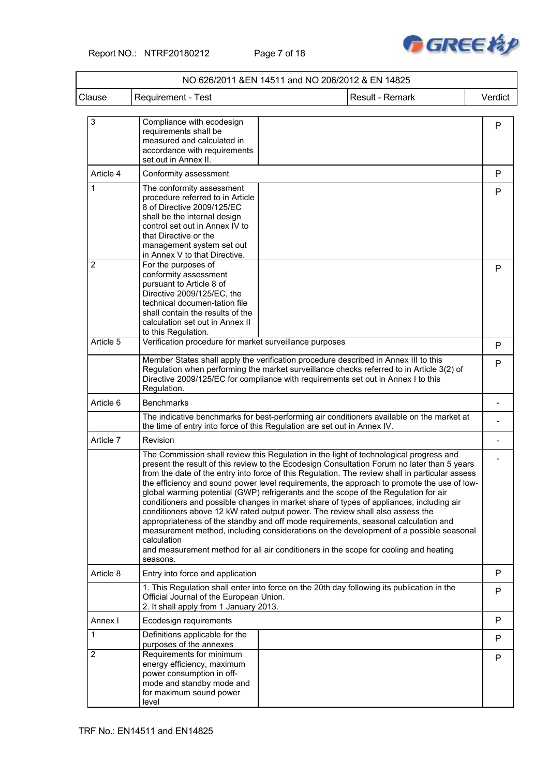

| Clause         | Requirement - Test                                                                                                                                                                                                                                   | Result - Remark                                                                                                                                                                                                                                                                                                                                                                                                                                                                                                                                                                                                                                                                                                                                                                                                                                                                                                                   | Verdict      |
|----------------|------------------------------------------------------------------------------------------------------------------------------------------------------------------------------------------------------------------------------------------------------|-----------------------------------------------------------------------------------------------------------------------------------------------------------------------------------------------------------------------------------------------------------------------------------------------------------------------------------------------------------------------------------------------------------------------------------------------------------------------------------------------------------------------------------------------------------------------------------------------------------------------------------------------------------------------------------------------------------------------------------------------------------------------------------------------------------------------------------------------------------------------------------------------------------------------------------|--------------|
|                |                                                                                                                                                                                                                                                      |                                                                                                                                                                                                                                                                                                                                                                                                                                                                                                                                                                                                                                                                                                                                                                                                                                                                                                                                   |              |
| 3              | Compliance with ecodesign<br>requirements shall be<br>measured and calculated in<br>accordance with requirements<br>set out in Annex II.                                                                                                             |                                                                                                                                                                                                                                                                                                                                                                                                                                                                                                                                                                                                                                                                                                                                                                                                                                                                                                                                   | $\mathsf{P}$ |
| Article 4      | Conformity assessment                                                                                                                                                                                                                                |                                                                                                                                                                                                                                                                                                                                                                                                                                                                                                                                                                                                                                                                                                                                                                                                                                                                                                                                   | P            |
| 1              | The conformity assessment<br>procedure referred to in Article<br>8 of Directive 2009/125/EC<br>shall be the internal design<br>control set out in Annex IV to<br>that Directive or the<br>management system set out<br>in Annex V to that Directive. |                                                                                                                                                                                                                                                                                                                                                                                                                                                                                                                                                                                                                                                                                                                                                                                                                                                                                                                                   | P            |
| $\overline{2}$ | For the purposes of<br>conformity assessment<br>pursuant to Article 8 of<br>Directive 2009/125/EC, the<br>technical documen-tation file<br>shall contain the results of the<br>calculation set out in Annex II<br>to this Regulation.                |                                                                                                                                                                                                                                                                                                                                                                                                                                                                                                                                                                                                                                                                                                                                                                                                                                                                                                                                   | P            |
| Article 5      | Verification procedure for market surveillance purposes                                                                                                                                                                                              |                                                                                                                                                                                                                                                                                                                                                                                                                                                                                                                                                                                                                                                                                                                                                                                                                                                                                                                                   | P            |
|                | Regulation.                                                                                                                                                                                                                                          | Member States shall apply the verification procedure described in Annex III to this<br>Regulation when performing the market surveillance checks referred to in Article 3(2) of<br>Directive 2009/125/EC for compliance with requirements set out in Annex I to this                                                                                                                                                                                                                                                                                                                                                                                                                                                                                                                                                                                                                                                              | P            |
| Article 6      | <b>Benchmarks</b>                                                                                                                                                                                                                                    |                                                                                                                                                                                                                                                                                                                                                                                                                                                                                                                                                                                                                                                                                                                                                                                                                                                                                                                                   |              |
|                |                                                                                                                                                                                                                                                      | The indicative benchmarks for best-performing air conditioners available on the market at<br>the time of entry into force of this Regulation are set out in Annex IV.                                                                                                                                                                                                                                                                                                                                                                                                                                                                                                                                                                                                                                                                                                                                                             |              |
| Article 7      | Revision                                                                                                                                                                                                                                             |                                                                                                                                                                                                                                                                                                                                                                                                                                                                                                                                                                                                                                                                                                                                                                                                                                                                                                                                   |              |
|                | calculation<br>seasons.                                                                                                                                                                                                                              | The Commission shall review this Regulation in the light of technological progress and<br>present the result of this review to the Ecodesign Consultation Forum no later than 5 years<br>from the date of the entry into force of this Regulation. The review shall in particular assess<br>the efficiency and sound power level requirements, the approach to promote the use of low-<br>global warming potential (GWP) refrigerants and the scope of the Regulation for air<br>conditioners and possible changes in market share of types of appliances, including air<br>conditioners above 12 kW rated output power. The review shall also assess the<br>appropriateness of the standby and off mode requirements, seasonal calculation and<br>measurement method, including considerations on the development of a possible seasonal<br>and measurement method for all air conditioners in the scope for cooling and heating |              |
| Article 8      | Entry into force and application                                                                                                                                                                                                                     |                                                                                                                                                                                                                                                                                                                                                                                                                                                                                                                                                                                                                                                                                                                                                                                                                                                                                                                                   | P            |
|                | Official Journal of the European Union.<br>2. It shall apply from 1 January 2013.                                                                                                                                                                    | 1. This Regulation shall enter into force on the 20th day following its publication in the                                                                                                                                                                                                                                                                                                                                                                                                                                                                                                                                                                                                                                                                                                                                                                                                                                        | P            |
| Annex I        | Ecodesign requirements                                                                                                                                                                                                                               |                                                                                                                                                                                                                                                                                                                                                                                                                                                                                                                                                                                                                                                                                                                                                                                                                                                                                                                                   | P            |
| 1              | Definitions applicable for the<br>purposes of the annexes                                                                                                                                                                                            |                                                                                                                                                                                                                                                                                                                                                                                                                                                                                                                                                                                                                                                                                                                                                                                                                                                                                                                                   | P            |
| $\overline{2}$ | Requirements for minimum<br>energy efficiency, maximum<br>power consumption in off-<br>mode and standby mode and<br>for maximum sound power<br>level                                                                                                 |                                                                                                                                                                                                                                                                                                                                                                                                                                                                                                                                                                                                                                                                                                                                                                                                                                                                                                                                   | P            |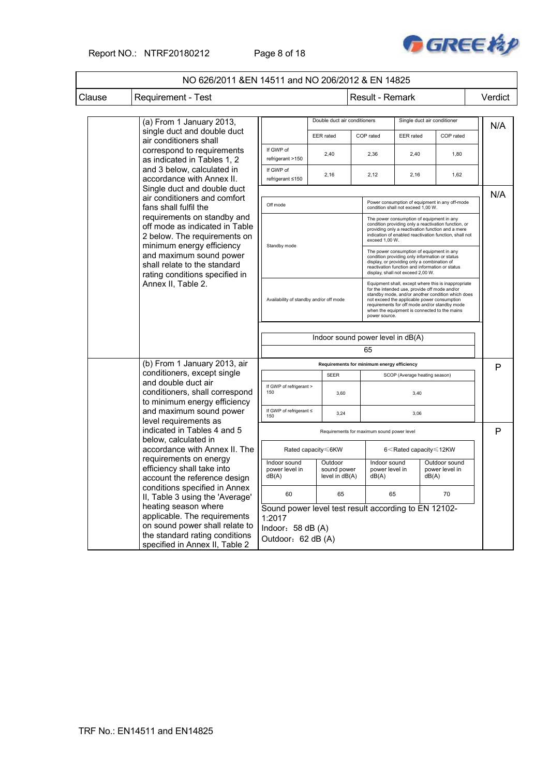

|        | NO 626/2011 & EN 14511 and NO 206/2012 & EN 14825                                                                                             |                                                                |                                            |                                                                                                                                                                                                                                    |                                                                                                                                                                                                                                                                                                                            |                                                             |                                          |         |
|--------|-----------------------------------------------------------------------------------------------------------------------------------------------|----------------------------------------------------------------|--------------------------------------------|------------------------------------------------------------------------------------------------------------------------------------------------------------------------------------------------------------------------------------|----------------------------------------------------------------------------------------------------------------------------------------------------------------------------------------------------------------------------------------------------------------------------------------------------------------------------|-------------------------------------------------------------|------------------------------------------|---------|
| Clause | Requirement - Test                                                                                                                            |                                                                |                                            |                                                                                                                                                                                                                                    | <b>Result - Remark</b>                                                                                                                                                                                                                                                                                                     |                                                             |                                          | Verdict |
|        | (a) From 1 January 2013,                                                                                                                      |                                                                | Double duct air conditioners               |                                                                                                                                                                                                                                    |                                                                                                                                                                                                                                                                                                                            |                                                             | Single duct air conditioner              | N/A     |
|        | air conditioners shall                                                                                                                        | single duct and double duct<br><b>EER</b> rated                |                                            |                                                                                                                                                                                                                                    | COP rated                                                                                                                                                                                                                                                                                                                  | <b>EER</b> rated                                            | COP rated                                |         |
|        | correspond to requirements<br>as indicated in Tables 1, 2                                                                                     | If GWP of<br>refrigerant >150                                  | 2,40                                       |                                                                                                                                                                                                                                    | 2,36                                                                                                                                                                                                                                                                                                                       | 2,40                                                        | 1,80                                     |         |
|        | and 3 below, calculated in<br>accordance with Annex II.                                                                                       | If GWP of<br>refrigerant ≤150                                  | 2,16                                       |                                                                                                                                                                                                                                    | 2,12                                                                                                                                                                                                                                                                                                                       | 2,16                                                        | 1,62                                     |         |
|        | Single duct and double duct                                                                                                                   |                                                                |                                            |                                                                                                                                                                                                                                    |                                                                                                                                                                                                                                                                                                                            |                                                             |                                          | N/A     |
|        | air conditioners and comfort<br>fans shall fulfil the                                                                                         | Off mode                                                       |                                            |                                                                                                                                                                                                                                    | Power consumption of equipment in any off-mode<br>condition shall not exceed 1,00 W.                                                                                                                                                                                                                                       |                                                             |                                          |         |
|        | requirements on standby and<br>off mode as indicated in Table<br>2 below. The requirements on<br>minimum energy efficiency                    | Standby mode                                                   |                                            | The power consumption of equipment in any<br>condition providing only a reactivation function, or<br>providing only a reactivation function and a mere<br>indication of enabled reactivation function, shall not<br>exceed 1,00 W. |                                                                                                                                                                                                                                                                                                                            |                                                             |                                          |         |
|        | and maximum sound power<br>shall relate to the standard<br>rating conditions specified in                                                     |                                                                |                                            |                                                                                                                                                                                                                                    | The power consumption of equipment in any<br>condition providing only information or status<br>display, or providing only a combination of<br>reactivation function and information or status<br>display, shall not exceed 2,00 W.                                                                                         |                                                             |                                          |         |
|        | Annex II, Table 2.                                                                                                                            | Availability of standby and/or off mode                        |                                            |                                                                                                                                                                                                                                    | Equipment shall, except where this is inappropriate<br>for the intended use, provide off mode and/or<br>standby mode, and/or another condition which does<br>not exceed the applicable power consumption<br>requirements for off mode and/or standby mode<br>when the equipment is connected to the mains<br>power source. |                                                             |                                          |         |
|        |                                                                                                                                               | Indoor sound power level in dB(A)                              |                                            |                                                                                                                                                                                                                                    |                                                                                                                                                                                                                                                                                                                            |                                                             |                                          |         |
|        |                                                                                                                                               |                                                                |                                            |                                                                                                                                                                                                                                    | 65                                                                                                                                                                                                                                                                                                                         |                                                             |                                          |         |
|        | (b) From 1 January 2013, air                                                                                                                  |                                                                |                                            |                                                                                                                                                                                                                                    | Requirements for minimum energy efficiency                                                                                                                                                                                                                                                                                 |                                                             |                                          |         |
|        | conditioners, except single                                                                                                                   |                                                                | <b>SEER</b>                                |                                                                                                                                                                                                                                    |                                                                                                                                                                                                                                                                                                                            | SCOP (Average heating season)                               |                                          | P       |
|        | and double duct air<br>conditioners, shall correspond<br>to minimum energy efficiency                                                         | If GWP of refrigerant ><br>150                                 | 3,60                                       |                                                                                                                                                                                                                                    |                                                                                                                                                                                                                                                                                                                            | 3,40                                                        |                                          |         |
|        | and maximum sound power<br>level requirements as                                                                                              | If GWP of refrigerant ≤<br>150                                 | 3,24                                       |                                                                                                                                                                                                                                    |                                                                                                                                                                                                                                                                                                                            | 3,06                                                        |                                          |         |
|        | indicated in Tables 4 and 5                                                                                                                   |                                                                |                                            |                                                                                                                                                                                                                                    | Requirements for maximum sound power level                                                                                                                                                                                                                                                                                 |                                                             |                                          | P       |
|        | below, calculated in<br>accordance with Annex II. The<br>requirements on energy<br>efficiency shall take into<br>account the reference design |                                                                | Rated capacity ≤6KW                        |                                                                                                                                                                                                                                    |                                                                                                                                                                                                                                                                                                                            | 6 <rated capacity≤12kw<="" td=""><td></td><td></td></rated> |                                          |         |
|        |                                                                                                                                               |                                                                | Outdoor<br>sound power<br>level in $dB(A)$ |                                                                                                                                                                                                                                    | Indoor sound<br>power level in<br>dB(A)                                                                                                                                                                                                                                                                                    |                                                             | Outdoor sound<br>power level in<br>dB(A) |         |
|        | conditions specified in Annex<br>II, Table 3 using the 'Average'                                                                              | 60                                                             | 65                                         |                                                                                                                                                                                                                                    | 65                                                                                                                                                                                                                                                                                                                         |                                                             | 70                                       |         |
|        | heating season where<br>applicable. The requirements                                                                                          | Sound power level test result according to EN 12102-<br>1:2017 |                                            |                                                                                                                                                                                                                                    |                                                                                                                                                                                                                                                                                                                            |                                                             |                                          |         |
|        | on sound power shall relate to<br>the standard rating conditions<br>specified in Annex II, Table 2                                            | Indoor: 58 dB (A)<br>Outdoor: 62 dB (A)                        |                                            |                                                                                                                                                                                                                                    |                                                                                                                                                                                                                                                                                                                            |                                                             |                                          |         |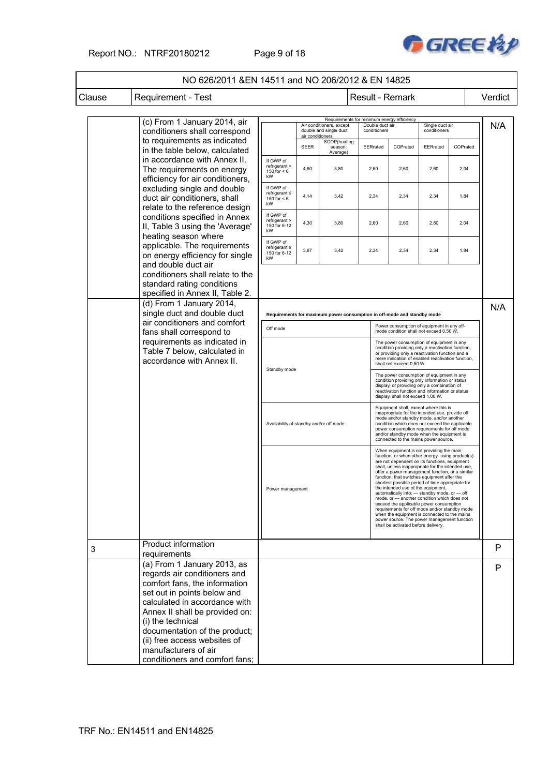### Report NO.: NTRF20180212 Page 9 of 18



|        | NO 626/2011 & EN 14511 and NO 206/2012 & EN 14825                                                                                                                                                                                                    |                                                        |                  |                                                    |                 |                                                                                                                                                                                                                                                                                                                                                                                                                                                                                                                                                                                                                                                                                                                                 |          |          |         |
|--------|------------------------------------------------------------------------------------------------------------------------------------------------------------------------------------------------------------------------------------------------------|--------------------------------------------------------|------------------|----------------------------------------------------|-----------------|---------------------------------------------------------------------------------------------------------------------------------------------------------------------------------------------------------------------------------------------------------------------------------------------------------------------------------------------------------------------------------------------------------------------------------------------------------------------------------------------------------------------------------------------------------------------------------------------------------------------------------------------------------------------------------------------------------------------------------|----------|----------|---------|
| Clause | <b>Requirement - Test</b>                                                                                                                                                                                                                            |                                                        |                  |                                                    | Result - Remark |                                                                                                                                                                                                                                                                                                                                                                                                                                                                                                                                                                                                                                                                                                                                 |          |          | Verdict |
|        | (c) From 1 January 2014, air<br>conditioners shall correspond                                                                                                                                                                                        |                                                        | air conditioners | Air conditioners, except<br>double and single duct |                 | Requirements for minimum energy efficiency<br>Single duct air<br>Double duct air<br>conditioners<br>conditioners                                                                                                                                                                                                                                                                                                                                                                                                                                                                                                                                                                                                                |          |          | N/A     |
|        | to requirements as indicated<br>in the table below, calculated                                                                                                                                                                                       |                                                        | <b>SEER</b>      | SCOP(heating<br>season:<br>Average)                | EERrated        | COPrated                                                                                                                                                                                                                                                                                                                                                                                                                                                                                                                                                                                                                                                                                                                        | EERrated | COPrated |         |
|        | in accordance with Annex II.<br>The requirements on energy<br>efficiency for air conditioners,                                                                                                                                                       | If GWP of<br>refrigerant ><br>150 for $< 6$<br>kW      | 4,60             | 3,80                                               | 2,60            | 2,60                                                                                                                                                                                                                                                                                                                                                                                                                                                                                                                                                                                                                                                                                                                            | 2,60     | 2,04     |         |
|        | excluding single and double<br>duct air conditioners, shall<br>relate to the reference design                                                                                                                                                        | If GWP of<br>$refrigerant \leq$<br>150 for $< 6$<br>kW | 4,14             | 3,42                                               | 2,34            | 2,34                                                                                                                                                                                                                                                                                                                                                                                                                                                                                                                                                                                                                                                                                                                            | 2,34     | 1,84     |         |
|        | conditions specified in Annex<br>II, Table 3 using the 'Average'                                                                                                                                                                                     | If GWP of<br>refrigerant ><br>150 for 6-12<br>kW       | 4,30             | 3,80                                               | 2,60            | 2,60                                                                                                                                                                                                                                                                                                                                                                                                                                                                                                                                                                                                                                                                                                                            | 2,60     | 2,04     |         |
|        | heating season where<br>applicable. The requirements<br>on energy efficiency for single                                                                                                                                                              | If GWP of<br>refrigerant $\leq$<br>150 for 6-12<br>kW  | 3,87             | 3,42                                               | 2,34            | 2,34                                                                                                                                                                                                                                                                                                                                                                                                                                                                                                                                                                                                                                                                                                                            | 2,34     | 1,84     |         |
|        | and double duct air<br>conditioners shall relate to the<br>standard rating conditions<br>specified in Annex II, Table 2.                                                                                                                             |                                                        |                  |                                                    |                 |                                                                                                                                                                                                                                                                                                                                                                                                                                                                                                                                                                                                                                                                                                                                 |          |          |         |
|        | (d) From 1 January 2014,<br>single duct and double duct                                                                                                                                                                                              |                                                        |                  |                                                    |                 | Requirements for maximum power consumption in off-mode and standby mode                                                                                                                                                                                                                                                                                                                                                                                                                                                                                                                                                                                                                                                         |          |          |         |
|        | air conditioners and comfort<br>fans shall correspond to                                                                                                                                                                                             | Off mode                                               |                  |                                                    |                 | Power consumption of equipment in any off-<br>mode condition shall not exceed 0,50 W.                                                                                                                                                                                                                                                                                                                                                                                                                                                                                                                                                                                                                                           |          |          |         |
|        | requirements as indicated in<br>Table 7 below, calculated in<br>accordance with Annex II.                                                                                                                                                            |                                                        |                  |                                                    |                 | The power consumption of equipment in any<br>condition providing only a reactivation function,<br>or providing only a reactivation function and a<br>mere indication of enabled reactivation function,<br>shall not exceed 0,50 W.                                                                                                                                                                                                                                                                                                                                                                                                                                                                                              |          |          |         |
|        |                                                                                                                                                                                                                                                      | Standby mode                                           |                  |                                                    |                 | The power consumption of equipment in any<br>condition providing only information or status<br>display, or providing only a combination of<br>reactivation function and information or status<br>display, shall not exceed 1,00 W.                                                                                                                                                                                                                                                                                                                                                                                                                                                                                              |          |          |         |
|        |                                                                                                                                                                                                                                                      | Availability of standby and/or off mode                |                  |                                                    |                 | Equipment shall, except where this is<br>inappropriate for the intended use, provide off<br>mode and/or standby mode, and/or another<br>condition which does not exceed the applicable<br>power consumption requirements for off mode<br>and/or standby mode when the equipment is<br>connected to the mains power source.                                                                                                                                                                                                                                                                                                                                                                                                      |          |          |         |
|        |                                                                                                                                                                                                                                                      | Power management                                       |                  |                                                    |                 | When equipment is not providing the main<br>function, or when other energy- using product(s)<br>are not dependent on its functions, equipment<br>shall, unless inappropriate for the intended use,<br>offer a power management function, or a similar<br>function, that switches equipment after the<br>shortest possible period of time appropriate for<br>the intended use of the equipment,<br>automatically into: - standby mode, or - off<br>mode, or - another condition which does not<br>exceed the applicable power consumption<br>requirements for off mode and/or standby mode<br>when the equipment is connected to the mains<br>power source. The power management function<br>shall be activated before delivery. |          |          |         |
| 3      | <b>Product information</b><br>requirements                                                                                                                                                                                                           |                                                        |                  |                                                    |                 |                                                                                                                                                                                                                                                                                                                                                                                                                                                                                                                                                                                                                                                                                                                                 |          |          | P       |
|        | (a) From 1 January 2013, as<br>regards air conditioners and<br>comfort fans, the information<br>set out in points below and<br>calculated in accordance with<br>Annex II shall be provided on:<br>(i) the technical<br>documentation of the product; |                                                        |                  |                                                    |                 |                                                                                                                                                                                                                                                                                                                                                                                                                                                                                                                                                                                                                                                                                                                                 |          |          | P       |
|        | (ii) free access websites of<br>manufacturers of air<br>conditioners and comfort fans;                                                                                                                                                               |                                                        |                  |                                                    |                 |                                                                                                                                                                                                                                                                                                                                                                                                                                                                                                                                                                                                                                                                                                                                 |          |          |         |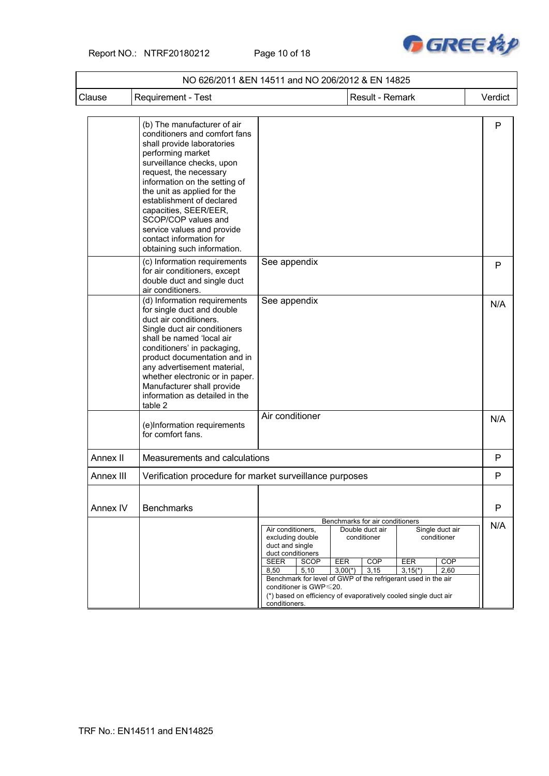Report NO.: NTRF20180212 Page 10 of 18



|           | NO 626/2011 &EN 14511 and NO 206/2012 & EN 14825                                                                                                                                                                                                                                                                                                                                                            |                                                                                                                                                                                                                                                                                                            |                                                                                                      |                                                                   |              |
|-----------|-------------------------------------------------------------------------------------------------------------------------------------------------------------------------------------------------------------------------------------------------------------------------------------------------------------------------------------------------------------------------------------------------------------|------------------------------------------------------------------------------------------------------------------------------------------------------------------------------------------------------------------------------------------------------------------------------------------------------------|------------------------------------------------------------------------------------------------------|-------------------------------------------------------------------|--------------|
| Clause    | <b>Requirement - Test</b>                                                                                                                                                                                                                                                                                                                                                                                   |                                                                                                                                                                                                                                                                                                            | Result - Remark                                                                                      |                                                                   | Verdict      |
|           | (b) The manufacturer of air<br>conditioners and comfort fans<br>shall provide laboratories<br>performing market<br>surveillance checks, upon<br>request, the necessary<br>information on the setting of<br>the unit as applied for the<br>establishment of declared<br>capacities, SEER/EER,<br>SCOP/COP values and<br>service values and provide<br>contact information for<br>obtaining such information. |                                                                                                                                                                                                                                                                                                            |                                                                                                      |                                                                   | P            |
|           | (c) Information requirements<br>for air conditioners, except<br>double duct and single duct<br>air conditioners.                                                                                                                                                                                                                                                                                            | See appendix                                                                                                                                                                                                                                                                                               |                                                                                                      |                                                                   | $\mathsf{P}$ |
|           | (d) Information requirements<br>for single duct and double<br>duct air conditioners.<br>Single duct air conditioners<br>shall be named 'local air<br>conditioners' in packaging,<br>product documentation and in<br>any advertisement material,<br>whether electronic or in paper.<br>Manufacturer shall provide<br>information as detailed in the<br>table 2                                               | See appendix                                                                                                                                                                                                                                                                                               |                                                                                                      |                                                                   | N/A          |
|           | (e)Information requirements<br>for comfort fans.                                                                                                                                                                                                                                                                                                                                                            | Air conditioner                                                                                                                                                                                                                                                                                            |                                                                                                      |                                                                   | N/A          |
| Annex II  | Measurements and calculations                                                                                                                                                                                                                                                                                                                                                                               |                                                                                                                                                                                                                                                                                                            |                                                                                                      |                                                                   | P            |
| Annex III | Verification procedure for market surveillance purposes                                                                                                                                                                                                                                                                                                                                                     |                                                                                                                                                                                                                                                                                                            |                                                                                                      |                                                                   | P            |
| Annex IV  | <b>Benchmarks</b>                                                                                                                                                                                                                                                                                                                                                                                           |                                                                                                                                                                                                                                                                                                            |                                                                                                      |                                                                   | P            |
|           |                                                                                                                                                                                                                                                                                                                                                                                                             | Air conditioners,<br>excluding double<br>duct and single<br>duct conditioners<br><b>SEER</b><br>SCOP<br>5,10<br>8,50<br>Benchmark for level of GWP of the refrigerant used in the air<br>conditioner is GWP $\leq$ 20.<br>(*) based on efficiency of evaporatively cooled single duct air<br>conditioners. | Benchmarks for air conditioners<br>Double duct air<br>conditioner<br>EER<br>COP<br>$3,00(*)$<br>3,15 | Single duct air<br>conditioner<br>EER<br>COP<br>$3,15(*)$<br>2,60 | N/A          |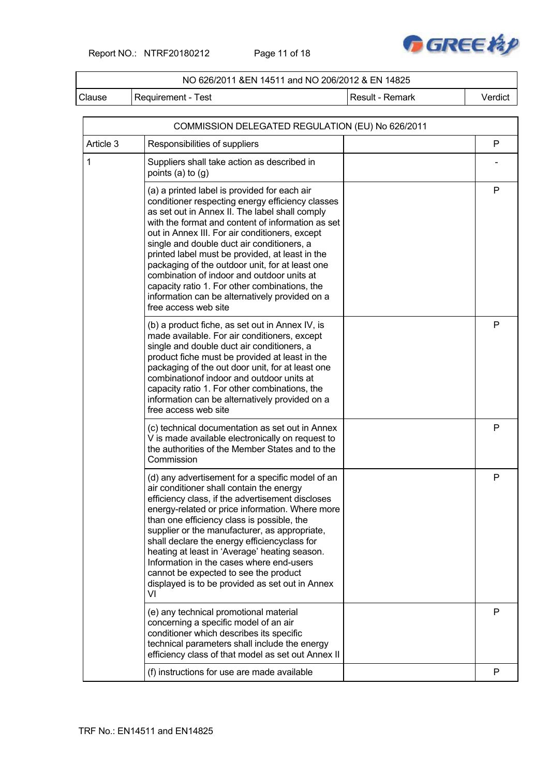Report NO.: NTRF20180212 Page 11 of 18



### NO 626/2011 &EN 14511 and NO 206/2012 & EN 14825

Clause Requirement - Test Result - Result - Remark Verdict

|              | COMMISSION DELEGATED REGULATION (EU) No 626/2011                                                                                                                                                                                                                                                                                                                                                                                                                                                                                                                                       |   |
|--------------|----------------------------------------------------------------------------------------------------------------------------------------------------------------------------------------------------------------------------------------------------------------------------------------------------------------------------------------------------------------------------------------------------------------------------------------------------------------------------------------------------------------------------------------------------------------------------------------|---|
| Article 3    | Responsibilities of suppliers                                                                                                                                                                                                                                                                                                                                                                                                                                                                                                                                                          | P |
| $\mathbf{1}$ | Suppliers shall take action as described in<br>points (a) to $(g)$                                                                                                                                                                                                                                                                                                                                                                                                                                                                                                                     |   |
|              | (a) a printed label is provided for each air<br>conditioner respecting energy efficiency classes<br>as set out in Annex II. The label shall comply<br>with the format and content of information as set<br>out in Annex III. For air conditioners, except<br>single and double duct air conditioners, a<br>printed label must be provided, at least in the<br>packaging of the outdoor unit, for at least one<br>combination of indoor and outdoor units at<br>capacity ratio 1. For other combinations, the<br>information can be alternatively provided on a<br>free access web site | P |
|              | (b) a product fiche, as set out in Annex IV, is<br>made available. For air conditioners, except<br>single and double duct air conditioners, a<br>product fiche must be provided at least in the<br>packaging of the out door unit, for at least one<br>combination of indoor and outdoor units at<br>capacity ratio 1. For other combinations, the<br>information can be alternatively provided on a<br>free access web site                                                                                                                                                           | P |
|              | (c) technical documentation as set out in Annex<br>V is made available electronically on request to<br>the authorities of the Member States and to the<br>Commission                                                                                                                                                                                                                                                                                                                                                                                                                   | P |
|              | (d) any advertisement for a specific model of an<br>air conditioner shall contain the energy<br>efficiency class, if the advertisement discloses<br>energy-related or price information. Where more<br>than one efficiency class is possible, the<br>supplier or the manufacturer, as appropriate,<br>shall declare the energy efficiencyclass for<br>heating at least in 'Average' heating season.<br>Information in the cases where end-users<br>cannot be expected to see the product<br>displayed is to be provided as set out in Annex<br>VI                                      | P |
|              | (e) any technical promotional material<br>concerning a specific model of an air<br>conditioner which describes its specific<br>technical parameters shall include the energy<br>efficiency class of that model as set out Annex II                                                                                                                                                                                                                                                                                                                                                     | P |
|              | (f) instructions for use are made available                                                                                                                                                                                                                                                                                                                                                                                                                                                                                                                                            | P |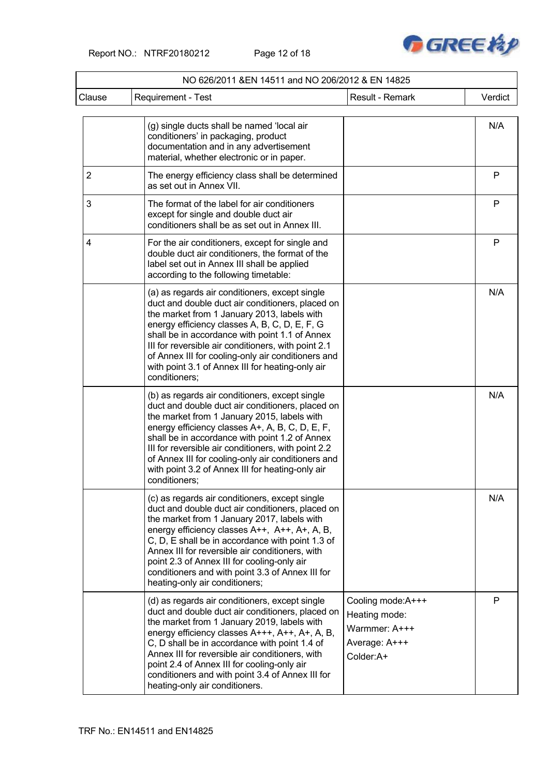Report NO.: NTRF20180212 Page 12 of 18



|                | NO 626/2011 & EN 14511 and NO 206/2012 & EN 14825                                                                                                                                                                                                                                                                                                                                                                                              |                                                                                   |         |
|----------------|------------------------------------------------------------------------------------------------------------------------------------------------------------------------------------------------------------------------------------------------------------------------------------------------------------------------------------------------------------------------------------------------------------------------------------------------|-----------------------------------------------------------------------------------|---------|
| Clause         | <b>Requirement - Test</b>                                                                                                                                                                                                                                                                                                                                                                                                                      | Result - Remark                                                                   | Verdict |
|                | (g) single ducts shall be named 'local air<br>conditioners' in packaging, product<br>documentation and in any advertisement<br>material, whether electronic or in paper.                                                                                                                                                                                                                                                                       |                                                                                   | N/A     |
| $\overline{2}$ | The energy efficiency class shall be determined<br>as set out in Annex VII.                                                                                                                                                                                                                                                                                                                                                                    |                                                                                   | P       |
| 3              | The format of the label for air conditioners<br>except for single and double duct air<br>conditioners shall be as set out in Annex III.                                                                                                                                                                                                                                                                                                        |                                                                                   | P       |
| 4              | For the air conditioners, except for single and<br>double duct air conditioners, the format of the<br>label set out in Annex III shall be applied<br>according to the following timetable:                                                                                                                                                                                                                                                     |                                                                                   | P       |
|                | (a) as regards air conditioners, except single<br>duct and double duct air conditioners, placed on<br>the market from 1 January 2013, labels with<br>energy efficiency classes A, B, C, D, E, F, G<br>shall be in accordance with point 1.1 of Annex<br>III for reversible air conditioners, with point 2.1<br>of Annex III for cooling-only air conditioners and<br>with point 3.1 of Annex III for heating-only air<br>conditioners;         |                                                                                   | N/A     |
|                | (b) as regards air conditioners, except single<br>duct and double duct air conditioners, placed on<br>the market from 1 January 2015, labels with<br>energy efficiency classes A+, A, B, C, D, E, F,<br>shall be in accordance with point 1.2 of Annex<br>III for reversible air conditioners, with point 2.2<br>of Annex III for cooling-only air conditioners and<br>with point 3.2 of Annex III for heating-only air<br>conditioners;       |                                                                                   | N/A     |
|                | (c) as regards air conditioners, except single<br>duct and double duct air conditioners, placed on<br>the market from 1 January 2017, labels with<br>energy efficiency classes A++, A++, A+, A, B,<br>C, D, E shall be in accordance with point 1.3 of<br>Annex III for reversible air conditioners, with<br>point 2.3 of Annex III for cooling-only air<br>conditioners and with point 3.3 of Annex III for<br>heating-only air conditioners; |                                                                                   | N/A     |
|                | (d) as regards air conditioners, except single<br>duct and double duct air conditioners, placed on<br>the market from 1 January 2019, labels with<br>energy efficiency classes A+++, A++, A+, A, B,<br>C, D shall be in accordance with point 1.4 of<br>Annex III for reversible air conditioners, with<br>point 2.4 of Annex III for cooling-only air<br>conditioners and with point 3.4 of Annex III for<br>heating-only air conditioners.   | Cooling mode:A+++<br>Heating mode:<br>Warmmer: A+++<br>Average: A+++<br>Colder:A+ | P       |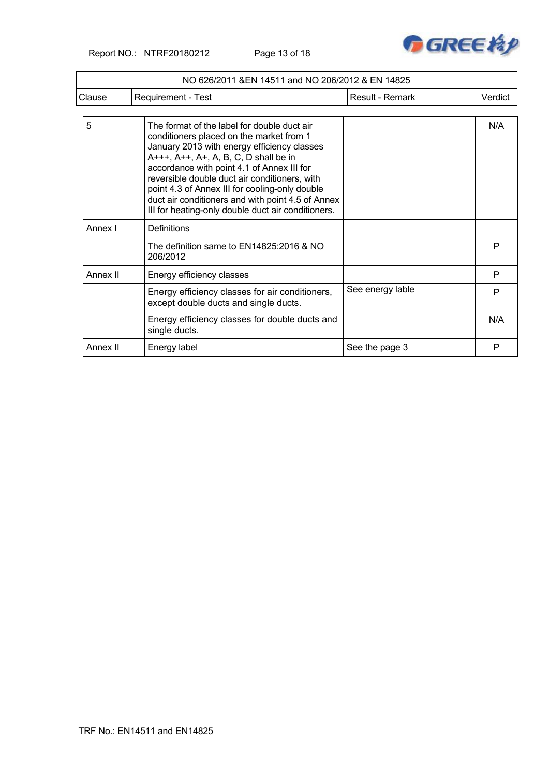Report NO.: NTRF20180212 Page 13 of 18



|          | NO 626/2011 & EN 14511 and NO 206/2012 & EN 14825                                                                                                                                                                                                                                                                                                                                                                                           |                  |         |
|----------|---------------------------------------------------------------------------------------------------------------------------------------------------------------------------------------------------------------------------------------------------------------------------------------------------------------------------------------------------------------------------------------------------------------------------------------------|------------------|---------|
| Clause   | Requirement - Test                                                                                                                                                                                                                                                                                                                                                                                                                          | Result - Remark  | Verdict |
| 5        | The format of the label for double duct air<br>conditioners placed on the market from 1<br>January 2013 with energy efficiency classes<br>A+++, A++, A+, A, B, C, D shall be in<br>accordance with point 4.1 of Annex III for<br>reversible double duct air conditioners, with<br>point 4.3 of Annex III for cooling-only double<br>duct air conditioners and with point 4.5 of Annex<br>III for heating-only double duct air conditioners. |                  | N/A     |
| Annex I  | Definitions                                                                                                                                                                                                                                                                                                                                                                                                                                 |                  |         |
|          | The definition same to EN14825:2016 & NO<br>206/2012                                                                                                                                                                                                                                                                                                                                                                                        |                  | P       |
| Annex II | Energy efficiency classes                                                                                                                                                                                                                                                                                                                                                                                                                   |                  | P       |
|          | Energy efficiency classes for air conditioners,<br>except double ducts and single ducts.                                                                                                                                                                                                                                                                                                                                                    | See energy lable | P       |
|          | Energy efficiency classes for double ducts and<br>single ducts.                                                                                                                                                                                                                                                                                                                                                                             |                  | N/A     |
| Annex II | Energy label                                                                                                                                                                                                                                                                                                                                                                                                                                | See the page 3   | P       |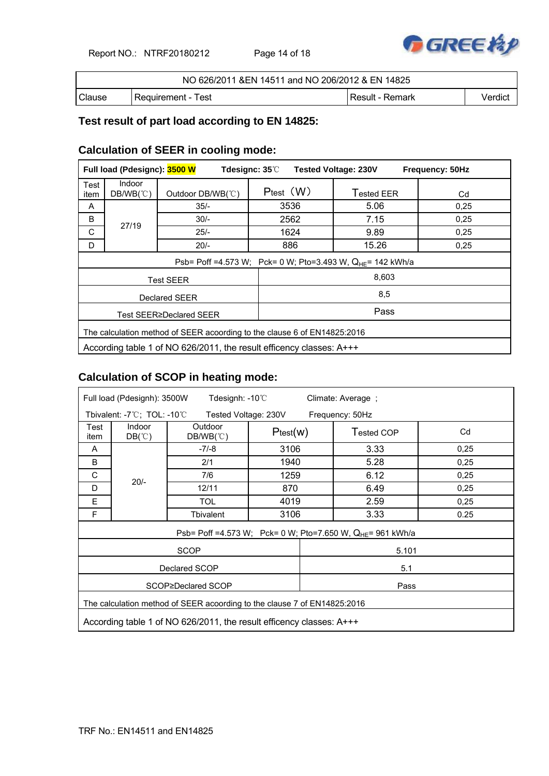Report NO.: NTRF20180212 Page 14 of 18



| NO 626/2011 & EN 14511 and NO 206/2012 & EN 14825 |                      |                 |         |  |  |
|---------------------------------------------------|----------------------|-----------------|---------|--|--|
| Clause                                            | l Requirement - Test | Result - Remark | Verdict |  |  |

### **Test result of part load according to EN 14825:**

### **Calculation of SEER in cooling mode:**

|                                                                          | Full load (Pdesignc): 3500 W<br>Tdesignc: 35°C<br><b>Tested Voltage: 230V</b><br>Frequency: 50Hz |                                |                  |                                                                        |      |  |  |
|--------------------------------------------------------------------------|--------------------------------------------------------------------------------------------------|--------------------------------|------------------|------------------------------------------------------------------------|------|--|--|
| Test<br>item                                                             | Indoor<br>$DB/WB(^\circ \mathbb{C})$                                                             | Outdoor DB/WB(°C)              | $P_{test}$ $(W)$ | Tested EER                                                             | Cd   |  |  |
| A                                                                        |                                                                                                  | $35/-$                         | 3536             | 5.06                                                                   | 0.25 |  |  |
| B                                                                        | 27/19                                                                                            | $30/-$                         | 2562             | 7.15                                                                   | 0,25 |  |  |
| C                                                                        |                                                                                                  | $25/-$                         | 1624             | 9.89                                                                   | 0,25 |  |  |
| D                                                                        |                                                                                                  | $20/-$                         | 886              | 15.26                                                                  | 0,25 |  |  |
|                                                                          |                                                                                                  |                                |                  | Psb= Poff =4.573 W; Pck= 0 W; Pto=3.493 W, Q <sub>HF</sub> = 142 kWh/a |      |  |  |
|                                                                          |                                                                                                  | <b>Test SEER</b>               |                  | 8,603                                                                  |      |  |  |
|                                                                          |                                                                                                  | Declared SEER                  |                  | 8,5                                                                    |      |  |  |
|                                                                          |                                                                                                  | <b>Test SEER≥Declared SEER</b> |                  | Pass                                                                   |      |  |  |
| The calculation method of SEER acoording to the clause 6 of EN14825:2016 |                                                                                                  |                                |                  |                                                                        |      |  |  |
| According table 1 of NO 626/2011, the result efficency classes: A+++     |                                                                                                  |                                |                  |                                                                        |      |  |  |

### **Calculation of SCOP in heating mode:**

| Full load (Pdesignh): 3500W                                              |                                  | Tdesignh: $-10^{\circ}$ C              |          | Climate: Average ; |                                                                        |      |
|--------------------------------------------------------------------------|----------------------------------|----------------------------------------|----------|--------------------|------------------------------------------------------------------------|------|
|                                                                          | Tbivalent: -7°C; TOL: -10°C      | Tested Voltage: 230V                   |          |                    | Frequency: 50Hz                                                        |      |
| Test<br>item                                                             | Indoor<br>$DB(^\circ\mathbb{C})$ | Outdoor<br>$DB/WB(^{\circ}\mathrm{C})$ | Ptest(w) |                    | Tested COP                                                             | Cd   |
| A                                                                        |                                  | $-7/-8$                                | 3106     |                    | 3.33                                                                   | 0,25 |
| B                                                                        |                                  | 2/1                                    | 1940     |                    | 5.28                                                                   | 0,25 |
| C                                                                        | $20/-$                           | 7/6                                    |          | 1259               | 6.12                                                                   | 0,25 |
| D                                                                        |                                  | 12/11                                  | 870      |                    | 6.49                                                                   | 0,25 |
| E                                                                        |                                  | <b>TOL</b>                             | 4019     |                    | 2.59                                                                   | 0,25 |
| F                                                                        |                                  | Tbivalent                              | 3106     |                    | 3.33                                                                   | 0.25 |
|                                                                          |                                  |                                        |          |                    | Psb= Poff =4.573 W; Pck= 0 W; Pto=7.650 W, Q <sub>HE</sub> = 961 kWh/a |      |
|                                                                          |                                  | <b>SCOP</b>                            |          |                    | 5.101                                                                  |      |
|                                                                          |                                  | Declared SCOP                          |          |                    | 5.1                                                                    |      |
| SCOP≥Declared SCOP<br>Pass                                               |                                  |                                        |          |                    |                                                                        |      |
| The calculation method of SEER acoording to the clause 7 of EN14825:2016 |                                  |                                        |          |                    |                                                                        |      |
| According table 1 of NO 626/2011, the result efficency classes: A+++     |                                  |                                        |          |                    |                                                                        |      |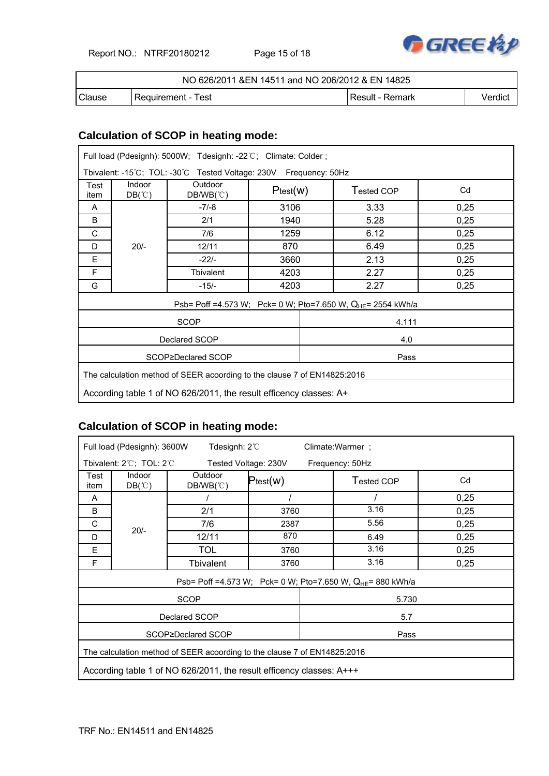Report NO.: NTRF20180212 Page 15 of 18



| NO 626/2011 & EN 14511 and NO 206/2012 & EN 14825 |                      |                   |         |  |  |
|---------------------------------------------------|----------------------|-------------------|---------|--|--|
| Clause                                            | l Reauirement - Test | l Result - Remark | Verdict |  |  |

## **Calculation of SCOP in heating mode:**

| Full load (Pdesignh): 5000W; Tdesignh: -22°C; Climate: Colder;           |                                  |                                                                   |          |  |                                                                         |      |  |
|--------------------------------------------------------------------------|----------------------------------|-------------------------------------------------------------------|----------|--|-------------------------------------------------------------------------|------|--|
|                                                                          |                                  | Tbivalent: -15°C; TOL: -30°C Tested Voltage: 230V Frequency: 50Hz |          |  |                                                                         |      |  |
| Test<br>item                                                             | Indoor<br>$DB(^\circ\mathbb{C})$ | Outdoor<br>$DB/WB(^{\circ}\mathrm{C})$                            | Ptest(w) |  | Tested COP                                                              | Cd   |  |
| A                                                                        |                                  | $-7/-8$                                                           | 3106     |  | 3.33                                                                    | 0,25 |  |
| B                                                                        |                                  | 2/1                                                               | 1940     |  | 5.28                                                                    | 0,25 |  |
| C                                                                        |                                  | 7/6                                                               | 1259     |  | 6.12                                                                    | 0,25 |  |
| D                                                                        | $20/-$                           | 12/11                                                             | 870      |  | 6.49                                                                    | 0,25 |  |
| Е                                                                        |                                  | $-22/-$                                                           | 3660     |  | 2.13                                                                    | 0,25 |  |
| F                                                                        |                                  | Tbivalent                                                         | 4203     |  | 2.27                                                                    | 0,25 |  |
| G                                                                        |                                  | $-15/-$                                                           | 4203     |  | 2.27                                                                    | 0,25 |  |
|                                                                          |                                  |                                                                   |          |  | Psb= Poff =4.573 W; Pck= 0 W; Pto=7.650 W, Q <sub>HE</sub> = 2554 kWh/a |      |  |
|                                                                          |                                  | <b>SCOP</b>                                                       |          |  | 4.111                                                                   |      |  |
|                                                                          | Declared SCOP<br>4.0             |                                                                   |          |  |                                                                         |      |  |
| SCOP≥Declared SCOP<br>Pass                                               |                                  |                                                                   |          |  |                                                                         |      |  |
| The calculation method of SEER acoording to the clause 7 of EN14825:2016 |                                  |                                                                   |          |  |                                                                         |      |  |
| According table 1 of NO 626/2011, the result efficency classes: A+       |                                  |                                                                   |          |  |                                                                         |      |  |

# **Calculation of SCOP in heating mode:**

| Tdesignh: $2^{\circ}$<br>Full load (Pdesignh): 3600W<br>Climate: Warmer ;               |                                  |                      |               |                                                                 |      |  |
|-----------------------------------------------------------------------------------------|----------------------------------|----------------------|---------------|-----------------------------------------------------------------|------|--|
| Tbivalent: $2^{\circ}$ C; TOL: $2^{\circ}$ C<br>Tested Voltage: 230V<br>Frequency: 50Hz |                                  |                      |               |                                                                 |      |  |
| Test<br>item                                                                            | Indoor<br>$DB(^\circ\mathbb{C})$ | Outdoor<br>DB/WB(°C) | $P_{test}(w)$ | Tested COP                                                      | Cd   |  |
| A                                                                                       |                                  |                      |               |                                                                 | 0,25 |  |
| B                                                                                       |                                  | 2/1                  | 3760          | 3.16                                                            | 0,25 |  |
| C                                                                                       | $20/-$                           | 7/6                  | 2387          | 5.56                                                            | 0,25 |  |
| D                                                                                       |                                  | 12/11                | 870           | 6.49                                                            | 0,25 |  |
| E                                                                                       |                                  | <b>TOL</b>           | 3760          | 3.16                                                            | 0,25 |  |
| F                                                                                       |                                  | Tbivalent            | 3760          | 3.16                                                            | 0,25 |  |
|                                                                                         |                                  |                      |               | Psb= Poff =4.573 W; Pck= 0 W; Pto=7.650 W, $Q_{HE}$ = 880 kWh/a |      |  |
|                                                                                         |                                  | <b>SCOP</b>          |               | 5.730                                                           |      |  |
|                                                                                         |                                  | Declared SCOP        |               | 5.7                                                             |      |  |
|                                                                                         | SCOP≥Declared SCOP<br>Pass       |                      |               |                                                                 |      |  |
| The calculation method of SEER acoording to the clause 7 of EN14825:2016                |                                  |                      |               |                                                                 |      |  |
| According table 1 of NO 626/2011, the result efficency classes: A+++                    |                                  |                      |               |                                                                 |      |  |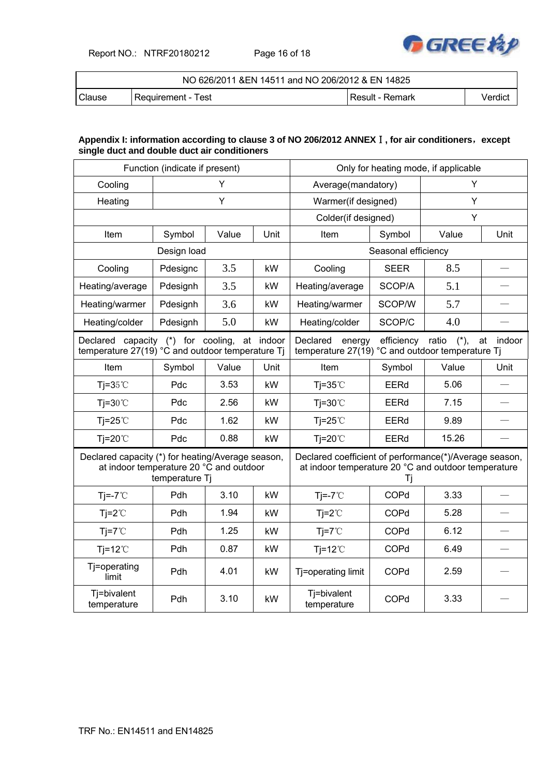Report NO.: NTRF20180212 Page 16 of 18



| NO 626/2011 & EN 14511 and NO 206/2012 & EN 14825 |                      |                 |         |  |  |
|---------------------------------------------------|----------------------|-----------------|---------|--|--|
| <b>Clause</b>                                     | l Reauirement - Test | Result - Remark | Verdict |  |  |

### **Appendix I: information according to clause 3 of NO 206/2012 ANNEX**Ⅰ**, for air conditioners**,**except single duct and double duct air conditioners**

| Function (indicate if present)                                                                                 |             |          |                                                                                                               | Only for heating mode, if applicable |                     |       |      |
|----------------------------------------------------------------------------------------------------------------|-------------|----------|---------------------------------------------------------------------------------------------------------------|--------------------------------------|---------------------|-------|------|
| Cooling                                                                                                        | Y           |          |                                                                                                               | Average(mandatory)                   |                     | Y     |      |
| Heating                                                                                                        |             | Υ        |                                                                                                               | Warmer(if designed)                  |                     | Y     |      |
|                                                                                                                |             |          |                                                                                                               | Colder(if designed)                  |                     | Y     |      |
| Item                                                                                                           | Symbol      | Value    | Unit                                                                                                          | Item                                 | Symbol              | Value | Unit |
|                                                                                                                | Design load |          |                                                                                                               |                                      | Seasonal efficiency |       |      |
| Cooling                                                                                                        | Pdesignc    | 3.5      | kW                                                                                                            | Cooling                              | <b>SEER</b>         | 8.5   |      |
| Heating/average                                                                                                | Pdesignh    | 3.5      | kW                                                                                                            | Heating/average                      | SCOP/A              | 5.1   |      |
| Heating/warmer                                                                                                 | Pdesignh    | 3.6      | kW                                                                                                            | Heating/warmer                       | SCOP/W              | 5.7   |      |
| Heating/colder                                                                                                 | Pdesignh    | 5.0      | kW                                                                                                            | Heating/colder                       | SCOP/C              | 4.0   |      |
| Declared capacity (*) for cooling, at indoor<br>temperature 27(19) °C and outdoor temperature Ti               |             | Declared | efficiency ratio (*),<br>energy<br>at<br>indoor<br>temperature 27(19) °C and outdoor temperature Tj           |                                      |                     |       |      |
| Item                                                                                                           | Symbol      | Value    | Unit                                                                                                          | Item                                 | Symbol              | Value | Unit |
| Tj= $35^{\circ}$ C                                                                                             | Pdc         | 3.53     | kW                                                                                                            | $Ti=35^{\circ}$                      | <b>EERd</b>         | 5.06  |      |
| $Ti=30^{\circ}C$                                                                                               | Pdc         | 2.56     | kW                                                                                                            | $Ti=30^{\circ}$                      | EERd                | 7.15  |      |
| $Ti=25^{\circ}$                                                                                                | Pdc         | 1.62     | kW                                                                                                            | $Ti=25^{\circ}C$                     | <b>EERd</b>         | 9.89  |      |
| $Ti=20^{\circ}$                                                                                                | Pdc         | 0.88     | kW                                                                                                            | $Ti=20^{\circ}$                      | EERd                | 15.26 |      |
| Declared capacity (*) for heating/Average season,<br>at indoor temperature 20 °C and outdoor<br>temperature Tj |             |          | Declared coefficient of performance(*)/Average season,<br>at indoor temperature 20 °C and outdoor temperature | Τi                                   |                     |       |      |
| $Ti=-7^{\circ}C$                                                                                               | Pdh         | 3.10     | kW                                                                                                            | $Ti=-7^{\circ}C$                     | COPd                | 3.33  |      |
| $Ti=2^{\circ}C$                                                                                                | Pdh         | 1.94     | kW                                                                                                            | $Ti=2^{\circ}C$                      | COPd                | 5.28  |      |
| $Ti=7^{\circ}C$                                                                                                | Pdh         | 1.25     | kW                                                                                                            | $Ti=7^{\circ}C$                      | COPd                | 6.12  |      |
| Tj=12 $°C$                                                                                                     | Pdh         | 0.87     | kW                                                                                                            | $Ti=12^{\circ}C$                     | COPd                | 6.49  |      |
| Tj=operating<br>limit                                                                                          | Pdh         | 4.01     | kW                                                                                                            | Tj=operating limit                   | COPd                | 2.59  |      |
| Tj=bivalent<br>temperature                                                                                     | Pdh         | 3.10     | kW                                                                                                            | Tj=bivalent<br>temperature           | COPd                | 3.33  |      |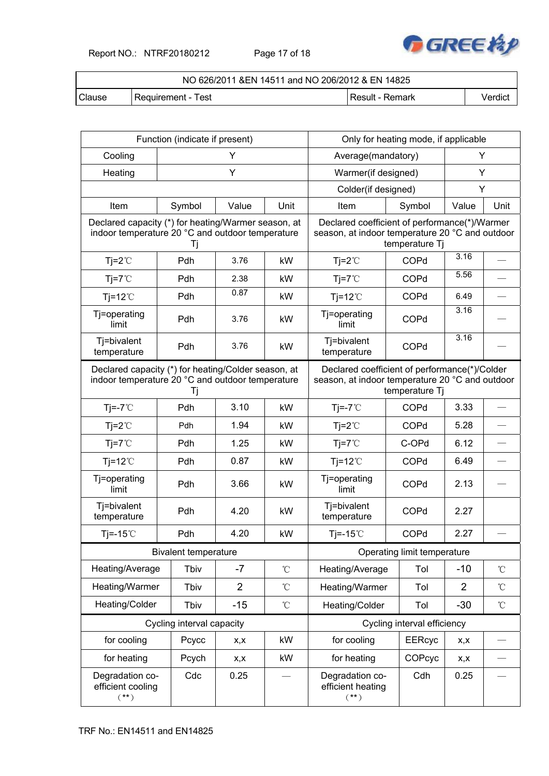Report NO.: NTRF20180212 Page 17 of 18



| NO 626/2011 & EN 14511 and NO 206/2012 & EN 14825 |                    |                 |         |  |  |
|---------------------------------------------------|--------------------|-----------------|---------|--|--|
| Clause                                            | Requirement - Test | Result - Remark | √erdict |  |  |

| Function (indicate if present)                                                                                |                             |                                                                                                                    |                    | Only for heating mode, if applicable                                                             |                             |                |                   |
|---------------------------------------------------------------------------------------------------------------|-----------------------------|--------------------------------------------------------------------------------------------------------------------|--------------------|--------------------------------------------------------------------------------------------------|-----------------------------|----------------|-------------------|
| Cooling                                                                                                       | Y                           |                                                                                                                    | Average(mandatory) |                                                                                                  | Y                           |                |                   |
| Heating                                                                                                       |                             | Υ                                                                                                                  |                    | Warmer(if designed)                                                                              |                             | Υ              |                   |
|                                                                                                               |                             |                                                                                                                    |                    | Colder(if designed)                                                                              |                             | Y              |                   |
| Item                                                                                                          | Symbol                      | Value                                                                                                              | Unit               | Item                                                                                             | Symbol                      | Value          | Unit              |
| Declared capacity (*) for heating/Warmer season, at<br>indoor temperature 20 °C and outdoor temperature       | Tj                          |                                                                                                                    |                    | Declared coefficient of performance(*)/Warmer<br>season, at indoor temperature 20 °C and outdoor | temperature Tj              |                |                   |
| $Tj = 2^{\circ}C$                                                                                             | Pdh                         | 3.76                                                                                                               | kW                 | $Ti=2^{\circ}C$                                                                                  | COPd                        | 3.16           |                   |
| $Tj = 7^{\circ}C$                                                                                             | Pdh                         | 2.38                                                                                                               | kW                 | $Ti=7^{\circ}C$                                                                                  | COPd                        | 5.56           |                   |
| $Tj=12^{\circ}C$                                                                                              | Pdh                         | 0.87                                                                                                               | kW                 | $Tj=12^{\circ}C$                                                                                 | COPd                        | 6.49           |                   |
| Tj=operating<br>limit                                                                                         | Pdh                         | 3.76                                                                                                               | kW                 | Tj=operating<br>limit                                                                            | COPd                        | 3.16           |                   |
| Tj=bivalent<br>temperature                                                                                    | Pdh                         | 3.76                                                                                                               | kW                 | Tj=bivalent<br>temperature                                                                       | COPd                        | 3.16           |                   |
| Declared capacity (*) for heating/Colder season, at<br>indoor temperature 20 °C and outdoor temperature<br>Tj |                             | Declared coefficient of performance(*)/Colder<br>season, at indoor temperature 20 °C and outdoor<br>temperature Tj |                    |                                                                                                  |                             |                |                   |
| $Tj = -7^{\circ}C$                                                                                            | Pdh                         | 3.10                                                                                                               | kW                 | $Ti=-7^{\circ}C$                                                                                 | COPd                        | 3.33           |                   |
| $Tj = 2^{\circ}C$                                                                                             | Pdh                         | 1.94                                                                                                               | kW                 | $Tj = 2^{\circ}C$                                                                                | COPd                        | 5.28           |                   |
| $Tj = 7^{\circ}C$                                                                                             | Pdh                         | 1.25                                                                                                               | kW                 | $Ti=7^{\circ}C$                                                                                  | C-OPd                       | 6.12           |                   |
| $Tj=12^{\circ}C$                                                                                              | Pdh                         | 0.87                                                                                                               | kW                 | $Tj=12^{\circ}C$                                                                                 | COPd                        | 6.49           |                   |
| Tj=operating<br>limit                                                                                         | Pdh                         | 3.66                                                                                                               | kW                 | Tj=operating<br>limit                                                                            | COPd                        | 2.13           |                   |
| Tj=bivalent<br>temperature                                                                                    | Pdh                         | 4.20                                                                                                               | kW                 | Tj=bivalent<br>temperature                                                                       | COPd                        | 2.27           |                   |
| Tj=-15 $°C$                                                                                                   | Pdh                         | 4.20                                                                                                               | kW                 | Tj=-15 $°C$                                                                                      | COPd                        | 2.27           |                   |
|                                                                                                               | <b>Bivalent temperature</b> |                                                                                                                    |                    | Operating limit temperature                                                                      |                             |                |                   |
| Heating/Average                                                                                               | Tbiv                        | $-7$                                                                                                               | $^\circ\!{\rm C}$  | Heating/Average                                                                                  | Tol                         | $-10$          | $^\circ\!{\rm C}$ |
| Heating/Warmer                                                                                                | Tbiv                        | $\overline{2}$                                                                                                     | $\rm ^{\circ}C$    | Heating/Warmer                                                                                   | Tol                         | $\overline{2}$ | $\rm ^{\circ}C$   |
| Heating/Colder                                                                                                | Tbiv                        | $-15$                                                                                                              | $^\circ\!{\rm C}$  | Heating/Colder                                                                                   | Tol                         | $-30$          | $\rm ^{\circ}C$   |
|                                                                                                               | Cycling interval capacity   |                                                                                                                    |                    |                                                                                                  | Cycling interval efficiency |                |                   |
| for cooling                                                                                                   | Pcycc                       | x,x                                                                                                                | kW                 | for cooling                                                                                      | <b>EERcyc</b>               | x,x            |                   |
| for heating                                                                                                   | Pcych                       | X,X                                                                                                                | kW                 | for heating                                                                                      | COPcyc                      | X,X            |                   |
| Degradation co-<br>efficient cooling<br>$(**)$                                                                | Cdc                         | 0.25                                                                                                               |                    | Degradation co-<br>efficient heating<br>$(**)$                                                   | Cdh                         | 0.25           |                   |